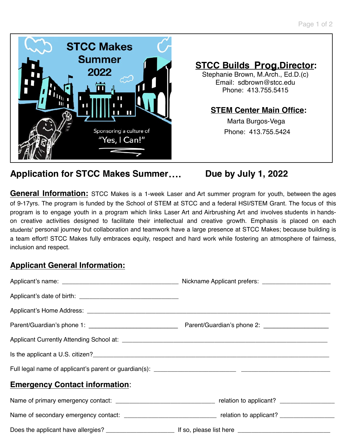

# **STCC Builds Prog.Director:**

Stephanie Brown, M.Arch., Ed.D.(c) Email: [sdbrown@stcc.edu](mailto:sdbrown@stcc.edu) Phone: 413.755.5415

### **STEM Center Main Office:**

 Marta Burgos-Vega Phone: 413.755.5424

# **Application for STCC Makes Summer…. Due by July 1, 2022**

**General Information:** STCC Makes is a 1-week Laser and Art summer program for youth, between the ages of 9-17yrs. The program is funded by the School of STEM at STCC and a federal HSI/STEM Grant. The focus of this program is to engage youth in a program which links Laser Art and Airbrushing Art and involves students in handson creative activities designed to facilitate their intellectual and creative growth. Emphasis is placed on each students' personal journey but collaboration and teamwork have a large presence at STCC Makes; because building is a team effort! STCC Makes fully embraces equity, respect and hard work while fostering an atmosphere of fairness, inclusion and respect.

### **Applicant General Information:**

| <b>Emergency Contact information:</b> |                                                                                                                |
|---------------------------------------|----------------------------------------------------------------------------------------------------------------|
|                                       |                                                                                                                |
|                                       | Name of secondary emergency contact: __________________________________ relation to applicant? _______________ |
|                                       |                                                                                                                |